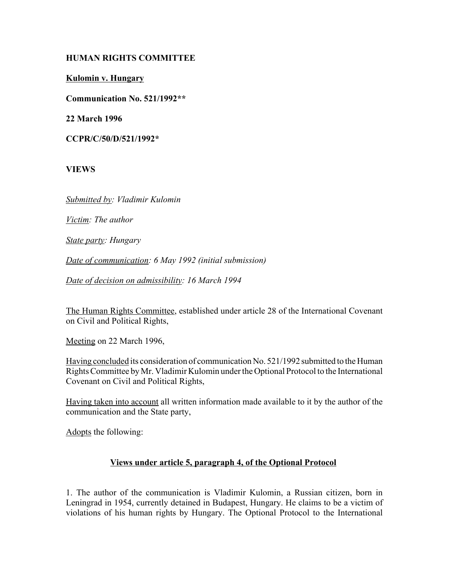# **HUMAN RIGHTS COMMITTEE**

**Kulomin v. Hungary**

**Communication No. 521/1992\*\***

**22 March 1996**

**CCPR/C/50/D/521/1992\***

**VIEWS**

*Submitted by: Vladimir Kulomin*

*Victim: The author*

*State party: Hungary*

*Date of communication: 6 May 1992 (initial submission)* 

*Date of decision on admissibility: 16 March 1994*

The Human Rights Committee, established under article 28 of the International Covenant on Civil and Political Rights,

Meeting on 22 March 1996,

Having concluded its consideration of communication No. 521/1992 submitted to the Human Rights Committee by Mr. Vladimir Kulomin under the Optional Protocol to the International Covenant on Civil and Political Rights,

Having taken into account all written information made available to it by the author of the communication and the State party,

Adopts the following:

# **Views under article 5, paragraph 4, of the Optional Protocol**

1. The author of the communication is Vladimir Kulomin, a Russian citizen, born in Leningrad in 1954, currently detained in Budapest, Hungary. He claims to be a victim of violations of his human rights by Hungary. The Optional Protocol to the International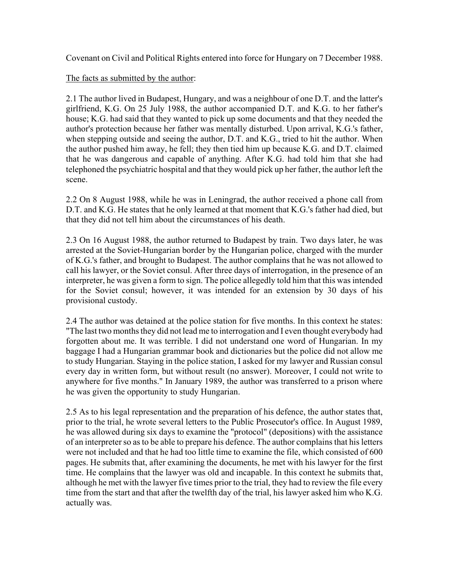Covenant on Civil and Political Rights entered into force for Hungary on 7 December 1988.

The facts as submitted by the author:

2.1 The author lived in Budapest, Hungary, and was a neighbour of one D.T. and the latter's girlfriend, K.G. On 25 July 1988, the author accompanied D.T. and K.G. to her father's house; K.G. had said that they wanted to pick up some documents and that they needed the author's protection because her father was mentally disturbed. Upon arrival, K.G.'s father, when stepping outside and seeing the author, D.T. and K.G., tried to hit the author. When the author pushed him away, he fell; they then tied him up because K.G. and D.T. claimed that he was dangerous and capable of anything. After K.G. had told him that she had telephoned the psychiatric hospital and that they would pick up her father, the author left the scene.

2.2 On 8 August 1988, while he was in Leningrad, the author received a phone call from D.T. and K.G. He states that he only learned at that moment that K.G.'s father had died, but that they did not tell him about the circumstances of his death.

2.3 On 16 August 1988, the author returned to Budapest by train. Two days later, he was arrested at the Soviet-Hungarian border by the Hungarian police, charged with the murder of K.G.'s father, and brought to Budapest. The author complains that he was not allowed to call his lawyer, or the Soviet consul. After three days of interrogation, in the presence of an interpreter, he was given a form to sign. The police allegedly told him that this was intended for the Soviet consul; however, it was intended for an extension by 30 days of his provisional custody.

2.4 The author was detained at the police station for five months. In this context he states: "The last two months they did not lead me to interrogation and I even thought everybody had forgotten about me. It was terrible. I did not understand one word of Hungarian. In my baggage I had a Hungarian grammar book and dictionaries but the police did not allow me to study Hungarian. Staying in the police station, I asked for my lawyer and Russian consul every day in written form, but without result (no answer). Moreover, I could not write to anywhere for five months." In January 1989, the author was transferred to a prison where he was given the opportunity to study Hungarian.

2.5 As to his legal representation and the preparation of his defence, the author states that, prior to the trial, he wrote several letters to the Public Prosecutor's office. In August 1989, he was allowed during six days to examine the "protocol" (depositions) with the assistance of an interpreter so as to be able to prepare his defence. The author complains that his letters were not included and that he had too little time to examine the file, which consisted of 600 pages. He submits that, after examining the documents, he met with his lawyer for the first time. He complains that the lawyer was old and incapable. In this context he submits that, although he met with the lawyer five times prior to the trial, they had to review the file every time from the start and that after the twelfth day of the trial, his lawyer asked him who K.G. actually was.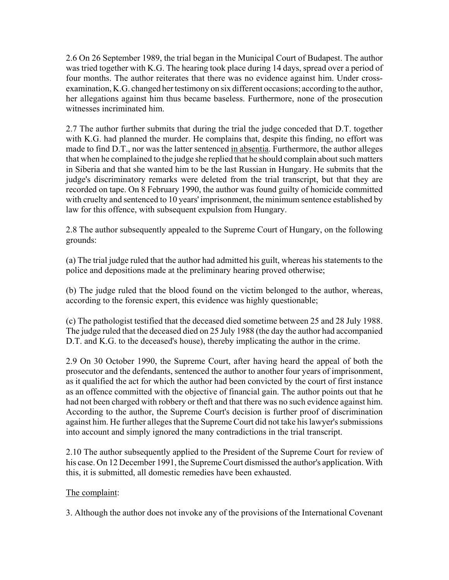2.6 On 26 September 1989, the trial began in the Municipal Court of Budapest. The author was tried together with K.G. The hearing took place during 14 days, spread over a period of four months. The author reiterates that there was no evidence against him. Under crossexamination, K.G. changed her testimony on six different occasions; according to the author, her allegations against him thus became baseless. Furthermore, none of the prosecution witnesses incriminated him.

2.7 The author further submits that during the trial the judge conceded that D.T. together with K.G. had planned the murder. He complains that, despite this finding, no effort was made to find D.T., nor was the latter sentenced in absentia. Furthermore, the author alleges that when he complained to the judge she replied that he should complain about such matters in Siberia and that she wanted him to be the last Russian in Hungary. He submits that the judge's discriminatory remarks were deleted from the trial transcript, but that they are recorded on tape. On 8 February 1990, the author was found guilty of homicide committed with cruelty and sentenced to 10 years' imprisonment, the minimum sentence established by law for this offence, with subsequent expulsion from Hungary.

2.8 The author subsequently appealed to the Supreme Court of Hungary, on the following grounds:

(a) The trial judge ruled that the author had admitted his guilt, whereas his statements to the police and depositions made at the preliminary hearing proved otherwise;

(b) The judge ruled that the blood found on the victim belonged to the author, whereas, according to the forensic expert, this evidence was highly questionable;

(c) The pathologist testified that the deceased died sometime between 25 and 28 July 1988. The judge ruled that the deceased died on 25 July 1988 (the day the author had accompanied D.T. and K.G. to the deceased's house), thereby implicating the author in the crime.

2.9 On 30 October 1990, the Supreme Court, after having heard the appeal of both the prosecutor and the defendants, sentenced the author to another four years of imprisonment, as it qualified the act for which the author had been convicted by the court of first instance as an offence committed with the objective of financial gain. The author points out that he had not been charged with robbery or theft and that there was no such evidence against him. According to the author, the Supreme Court's decision is further proof of discrimination against him. He further alleges that the Supreme Court did not take his lawyer's submissions into account and simply ignored the many contradictions in the trial transcript.

2.10 The author subsequently applied to the President of the Supreme Court for review of his case. On 12 December 1991, the Supreme Court dismissed the author's application. With this, it is submitted, all domestic remedies have been exhausted.

# The complaint:

3. Although the author does not invoke any of the provisions of the International Covenant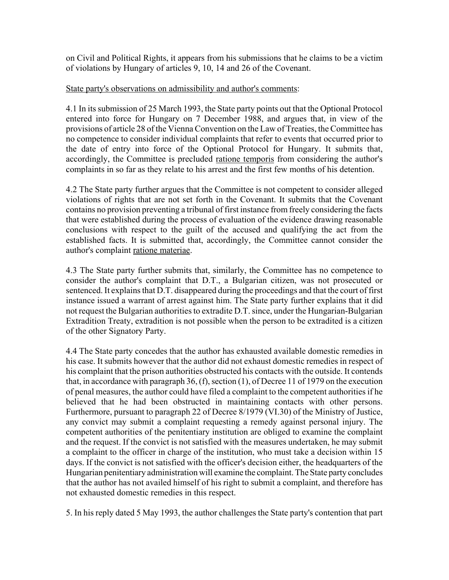on Civil and Political Rights, it appears from his submissions that he claims to be a victim of violations by Hungary of articles 9, 10, 14 and 26 of the Covenant.

### State party's observations on admissibility and author's comments:

4.1 In its submission of 25 March 1993, the State party points out that the Optional Protocol entered into force for Hungary on 7 December 1988, and argues that, in view of the provisions of article 28 of the Vienna Convention on the Law of Treaties, the Committee has no competence to consider individual complaints that refer to events that occurred prior to the date of entry into force of the Optional Protocol for Hungary. It submits that, accordingly, the Committee is precluded ratione temporis from considering the author's complaints in so far as they relate to his arrest and the first few months of his detention.

4.2 The State party further argues that the Committee is not competent to consider alleged violations of rights that are not set forth in the Covenant. It submits that the Covenant contains no provision preventing a tribunal of first instance from freely considering the facts that were established during the process of evaluation of the evidence drawing reasonable conclusions with respect to the guilt of the accused and qualifying the act from the established facts. It is submitted that, accordingly, the Committee cannot consider the author's complaint ratione materiae.

4.3 The State party further submits that, similarly, the Committee has no competence to consider the author's complaint that D.T., a Bulgarian citizen, was not prosecuted or sentenced. It explains that D.T. disappeared during the proceedings and that the court of first instance issued a warrant of arrest against him. The State party further explains that it did not request the Bulgarian authorities to extradite D.T. since, under the Hungarian-Bulgarian Extradition Treaty, extradition is not possible when the person to be extradited is a citizen of the other Signatory Party.

4.4 The State party concedes that the author has exhausted available domestic remedies in his case. It submits however that the author did not exhaust domestic remedies in respect of his complaint that the prison authorities obstructed his contacts with the outside. It contends that, in accordance with paragraph 36, (f), section (1), of Decree 11 of 1979 on the execution of penal measures, the author could have filed a complaint to the competent authorities if he believed that he had been obstructed in maintaining contacts with other persons. Furthermore, pursuant to paragraph 22 of Decree 8/1979 (VI.30) of the Ministry of Justice, any convict may submit a complaint requesting a remedy against personal injury. The competent authorities of the penitentiary institution are obliged to examine the complaint and the request. If the convict is not satisfied with the measures undertaken, he may submit a complaint to the officer in charge of the institution, who must take a decision within 15 days. If the convict is not satisfied with the officer's decision either, the headquarters of the Hungarian penitentiary administration will examine the complaint. The State party concludes that the author has not availed himself of his right to submit a complaint, and therefore has not exhausted domestic remedies in this respect.

5. In his reply dated 5 May 1993, the author challenges the State party's contention that part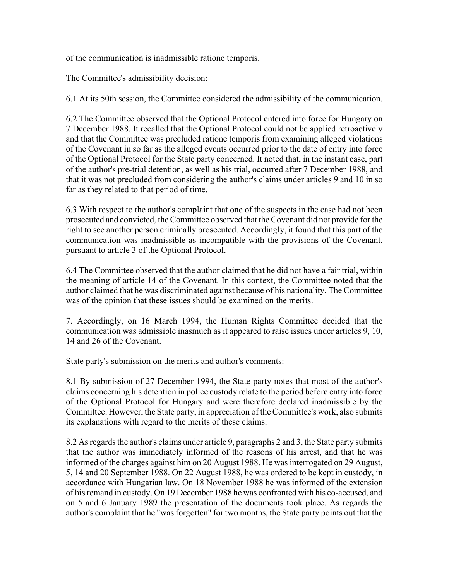of the communication is inadmissible ratione temporis.

The Committee's admissibility decision:

6.1 At its 50th session, the Committee considered the admissibility of the communication.

6.2 The Committee observed that the Optional Protocol entered into force for Hungary on 7 December 1988. It recalled that the Optional Protocol could not be applied retroactively and that the Committee was precluded ratione temporis from examining alleged violations of the Covenant in so far as the alleged events occurred prior to the date of entry into force of the Optional Protocol for the State party concerned. It noted that, in the instant case, part of the author's pre-trial detention, as well as his trial, occurred after 7 December 1988, and that it was not precluded from considering the author's claims under articles 9 and 10 in so far as they related to that period of time.

6.3 With respect to the author's complaint that one of the suspects in the case had not been prosecuted and convicted, the Committee observed that the Covenant did not provide for the right to see another person criminally prosecuted. Accordingly, it found that this part of the communication was inadmissible as incompatible with the provisions of the Covenant, pursuant to article 3 of the Optional Protocol.

6.4 The Committee observed that the author claimed that he did not have a fair trial, within the meaning of article 14 of the Covenant. In this context, the Committee noted that the author claimed that he was discriminated against because of his nationality. The Committee was of the opinion that these issues should be examined on the merits.

7. Accordingly, on 16 March 1994, the Human Rights Committee decided that the communication was admissible inasmuch as it appeared to raise issues under articles 9, 10, 14 and 26 of the Covenant.

State party's submission on the merits and author's comments:

8.1 By submission of 27 December 1994, the State party notes that most of the author's claims concerning his detention in police custody relate to the period before entry into force of the Optional Protocol for Hungary and were therefore declared inadmissible by the Committee. However, the State party, in appreciation of the Committee's work, also submits its explanations with regard to the merits of these claims.

8.2 As regards the author's claims under article 9, paragraphs 2 and 3, the State party submits that the author was immediately informed of the reasons of his arrest, and that he was informed of the charges against him on 20 August 1988. He was interrogated on 29 August, 5, 14 and 20 September 1988. On 22 August 1988, he was ordered to be kept in custody, in accordance with Hungarian law. On 18 November 1988 he was informed of the extension of his remand in custody. On 19 December 1988 he was confronted with his co-accused, and on 5 and 6 January 1989 the presentation of the documents took place. As regards the author's complaint that he "was forgotten" for two months, the State party points out that the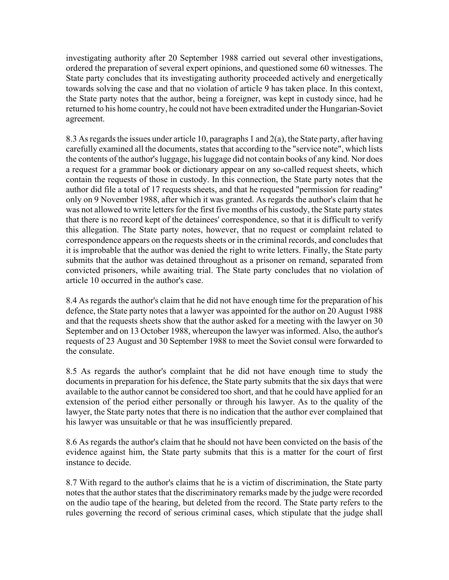investigating authority after 20 September 1988 carried out several other investigations, ordered the preparation of several expert opinions, and questioned some 60 witnesses. The State party concludes that its investigating authority proceeded actively and energetically towards solving the case and that no violation of article 9 has taken place. In this context, the State party notes that the author, being a foreigner, was kept in custody since, had he returned to his home country, he could not have been extradited under the Hungarian-Soviet agreement.

8.3 As regards the issues under article 10, paragraphs 1 and 2(a), the State party, after having carefully examined all the documents, states that according to the "service note", which lists the contents of the author's luggage, his luggage did not contain books of any kind. Nor does a request for a grammar book or dictionary appear on any so-called request sheets, which contain the requests of those in custody. In this connection, the State party notes that the author did file a total of 17 requests sheets, and that he requested "permission for reading" only on 9 November 1988, after which it was granted. As regards the author's claim that he was not allowed to write letters for the first five months of his custody, the State party states that there is no record kept of the detainees' correspondence, so that it is difficult to verify this allegation. The State party notes, however, that no request or complaint related to correspondence appears on the requests sheets or in the criminal records, and concludes that it is improbable that the author was denied the right to write letters. Finally, the State party submits that the author was detained throughout as a prisoner on remand, separated from convicted prisoners, while awaiting trial. The State party concludes that no violation of article 10 occurred in the author's case.

8.4 As regards the author's claim that he did not have enough time for the preparation of his defence, the State party notes that a lawyer was appointed for the author on 20 August 1988 and that the requests sheets show that the author asked for a meeting with the lawyer on 30 September and on 13 October 1988, whereupon the lawyer was informed. Also, the author's requests of 23 August and 30 September 1988 to meet the Soviet consul were forwarded to the consulate.

8.5 As regards the author's complaint that he did not have enough time to study the documents in preparation for his defence, the State party submits that the six days that were available to the author cannot be considered too short, and that he could have applied for an extension of the period either personally or through his lawyer. As to the quality of the lawyer, the State party notes that there is no indication that the author ever complained that his lawyer was unsuitable or that he was insufficiently prepared.

8.6 As regards the author's claim that he should not have been convicted on the basis of the evidence against him, the State party submits that this is a matter for the court of first instance to decide.

8.7 With regard to the author's claims that he is a victim of discrimination, the State party notes that the author states that the discriminatory remarks made by the judge were recorded on the audio tape of the hearing, but deleted from the record. The State party refers to the rules governing the record of serious criminal cases, which stipulate that the judge shall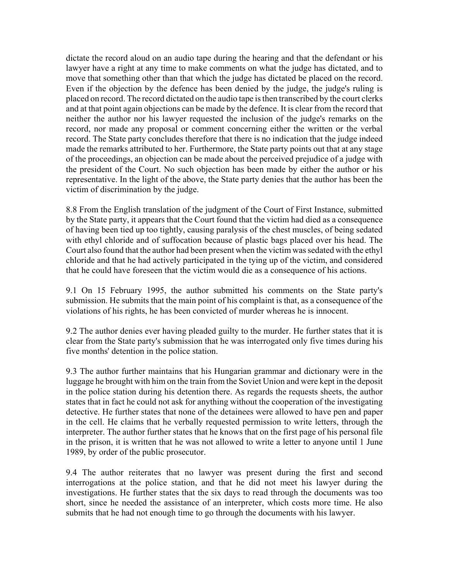dictate the record aloud on an audio tape during the hearing and that the defendant or his lawyer have a right at any time to make comments on what the judge has dictated, and to move that something other than that which the judge has dictated be placed on the record. Even if the objection by the defence has been denied by the judge, the judge's ruling is placed on record. The record dictated on the audio tape is then transcribed by the court clerks and at that point again objections can be made by the defence. It is clear from the record that neither the author nor his lawyer requested the inclusion of the judge's remarks on the record, nor made any proposal or comment concerning either the written or the verbal record. The State party concludes therefore that there is no indication that the judge indeed made the remarks attributed to her. Furthermore, the State party points out that at any stage of the proceedings, an objection can be made about the perceived prejudice of a judge with the president of the Court. No such objection has been made by either the author or his representative. In the light of the above, the State party denies that the author has been the victim of discrimination by the judge.

8.8 From the English translation of the judgment of the Court of First Instance, submitted by the State party, it appears that the Court found that the victim had died as a consequence of having been tied up too tightly, causing paralysis of the chest muscles, of being sedated with ethyl chloride and of suffocation because of plastic bags placed over his head. The Court also found that the author had been present when the victim was sedated with the ethyl chloride and that he had actively participated in the tying up of the victim, and considered that he could have foreseen that the victim would die as a consequence of his actions.

9.1 On 15 February 1995, the author submitted his comments on the State party's submission. He submits that the main point of his complaint is that, as a consequence of the violations of his rights, he has been convicted of murder whereas he is innocent.

9.2 The author denies ever having pleaded guilty to the murder. He further states that it is clear from the State party's submission that he was interrogated only five times during his five months' detention in the police station.

9.3 The author further maintains that his Hungarian grammar and dictionary were in the luggage he brought with him on the train from the Soviet Union and were kept in the deposit in the police station during his detention there. As regards the requests sheets, the author states that in fact he could not ask for anything without the cooperation of the investigating detective. He further states that none of the detainees were allowed to have pen and paper in the cell. He claims that he verbally requested permission to write letters, through the interpreter. The author further states that he knows that on the first page of his personal file in the prison, it is written that he was not allowed to write a letter to anyone until 1 June 1989, by order of the public prosecutor.

9.4 The author reiterates that no lawyer was present during the first and second interrogations at the police station, and that he did not meet his lawyer during the investigations. He further states that the six days to read through the documents was too short, since he needed the assistance of an interpreter, which costs more time. He also submits that he had not enough time to go through the documents with his lawyer.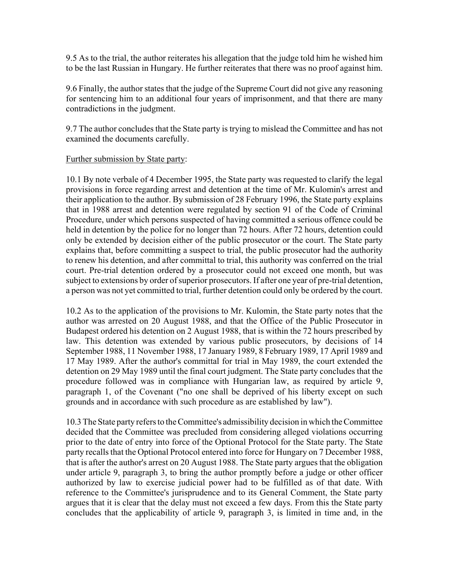9.5 As to the trial, the author reiterates his allegation that the judge told him he wished him to be the last Russian in Hungary. He further reiterates that there was no proof against him.

9.6 Finally, the author states that the judge of the Supreme Court did not give any reasoning for sentencing him to an additional four years of imprisonment, and that there are many contradictions in the judgment.

9.7 The author concludes that the State party is trying to mislead the Committee and has not examined the documents carefully.

#### Further submission by State party:

10.1 By note verbale of 4 December 1995, the State party was requested to clarify the legal provisions in force regarding arrest and detention at the time of Mr. Kulomin's arrest and their application to the author. By submission of 28 February 1996, the State party explains that in 1988 arrest and detention were regulated by section 91 of the Code of Criminal Procedure, under which persons suspected of having committed a serious offence could be held in detention by the police for no longer than 72 hours. After 72 hours, detention could only be extended by decision either of the public prosecutor or the court. The State party explains that, before committing a suspect to trial, the public prosecutor had the authority to renew his detention, and after committal to trial, this authority was conferred on the trial court. Pre-trial detention ordered by a prosecutor could not exceed one month, but was subject to extensions by order of superior prosecutors. If after one year of pre-trial detention, a person was not yet committed to trial, further detention could only be ordered by the court.

10.2 As to the application of the provisions to Mr. Kulomin, the State party notes that the author was arrested on 20 August 1988, and that the Office of the Public Prosecutor in Budapest ordered his detention on 2 August 1988, that is within the 72 hours prescribed by law. This detention was extended by various public prosecutors, by decisions of 14 September 1988, 11 November 1988, 17 January 1989, 8 February 1989, 17 April 1989 and 17 May 1989. After the author's committal for trial in May 1989, the court extended the detention on 29 May 1989 until the final court judgment. The State party concludes that the procedure followed was in compliance with Hungarian law, as required by article 9, paragraph 1, of the Covenant ("no one shall be deprived of his liberty except on such grounds and in accordance with such procedure as are established by law").

10.3 The State party refers to the Committee's admissibility decision in which the Committee decided that the Committee was precluded from considering alleged violations occurring prior to the date of entry into force of the Optional Protocol for the State party. The State party recalls that the Optional Protocol entered into force for Hungary on 7 December 1988, that is after the author's arrest on 20 August 1988. The State party argues that the obligation under article 9, paragraph 3, to bring the author promptly before a judge or other officer authorized by law to exercise judicial power had to be fulfilled as of that date. With reference to the Committee's jurisprudence and to its General Comment, the State party argues that it is clear that the delay must not exceed a few days. From this the State party concludes that the applicability of article 9, paragraph 3, is limited in time and, in the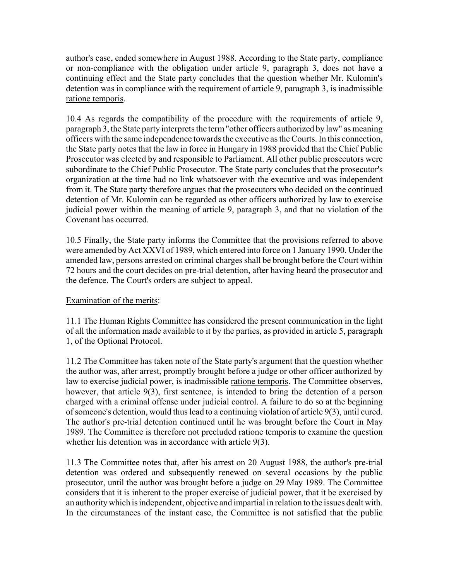author's case, ended somewhere in August 1988. According to the State party, compliance or non-compliance with the obligation under article 9, paragraph 3, does not have a continuing effect and the State party concludes that the question whether Mr. Kulomin's detention was in compliance with the requirement of article 9, paragraph 3, is inadmissible ratione temporis.

10.4 As regards the compatibility of the procedure with the requirements of article 9, paragraph 3, the State party interprets the term "other officers authorized by law" as meaning officers with the same independence towards the executive as the Courts. In this connection, the State party notes that the law in force in Hungary in 1988 provided that the Chief Public Prosecutor was elected by and responsible to Parliament. All other public prosecutors were subordinate to the Chief Public Prosecutor. The State party concludes that the prosecutor's organization at the time had no link whatsoever with the executive and was independent from it. The State party therefore argues that the prosecutors who decided on the continued detention of Mr. Kulomin can be regarded as other officers authorized by law to exercise judicial power within the meaning of article 9, paragraph 3, and that no violation of the Covenant has occurred.

10.5 Finally, the State party informs the Committee that the provisions referred to above were amended by Act XXVI of 1989, which entered into force on 1 January 1990. Under the amended law, persons arrested on criminal charges shall be brought before the Court within 72 hours and the court decides on pre-trial detention, after having heard the prosecutor and the defence. The Court's orders are subject to appeal.

# Examination of the merits:

11.1 The Human Rights Committee has considered the present communication in the light of all the information made available to it by the parties, as provided in article 5, paragraph 1, of the Optional Protocol.

11.2 The Committee has taken note of the State party's argument that the question whether the author was, after arrest, promptly brought before a judge or other officer authorized by law to exercise judicial power, is inadmissible ratione temporis. The Committee observes, however, that article 9(3), first sentence, is intended to bring the detention of a person charged with a criminal offense under judicial control. A failure to do so at the beginning of someone's detention, would thus lead to a continuing violation of article 9(3), until cured. The author's pre-trial detention continued until he was brought before the Court in May 1989. The Committee is therefore not precluded ratione temporis to examine the question whether his detention was in accordance with article 9(3).

11.3 The Committee notes that, after his arrest on 20 August 1988, the author's pre-trial detention was ordered and subsequently renewed on several occasions by the public prosecutor, until the author was brought before a judge on 29 May 1989. The Committee considers that it is inherent to the proper exercise of judicial power, that it be exercised by an authority which is independent, objective and impartial in relation to the issues dealt with. In the circumstances of the instant case, the Committee is not satisfied that the public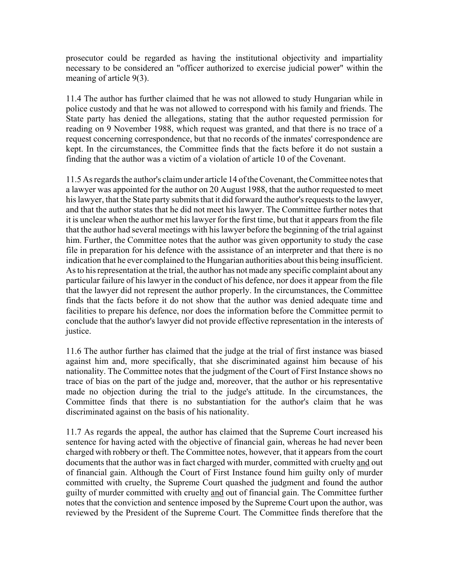prosecutor could be regarded as having the institutional objectivity and impartiality necessary to be considered an "officer authorized to exercise judicial power" within the meaning of article 9(3).

11.4 The author has further claimed that he was not allowed to study Hungarian while in police custody and that he was not allowed to correspond with his family and friends. The State party has denied the allegations, stating that the author requested permission for reading on 9 November 1988, which request was granted, and that there is no trace of a request concerning correspondence, but that no records of the inmates' correspondence are kept. In the circumstances, the Committee finds that the facts before it do not sustain a finding that the author was a victim of a violation of article 10 of the Covenant.

11.5 As regards the author's claim under article 14 of the Covenant, the Committee notes that a lawyer was appointed for the author on 20 August 1988, that the author requested to meet his lawyer, that the State party submits that it did forward the author's requests to the lawyer, and that the author states that he did not meet his lawyer. The Committee further notes that it is unclear when the author met his lawyer for the first time, but that it appears from the file that the author had several meetings with his lawyer before the beginning of the trial against him. Further, the Committee notes that the author was given opportunity to study the case file in preparation for his defence with the assistance of an interpreter and that there is no indication that he ever complained to the Hungarian authorities about this being insufficient. As to his representation at the trial, the author has not made any specific complaint about any particular failure of his lawyer in the conduct of his defence, nor does it appear from the file that the lawyer did not represent the author properly. In the circumstances, the Committee finds that the facts before it do not show that the author was denied adequate time and facilities to prepare his defence, nor does the information before the Committee permit to conclude that the author's lawyer did not provide effective representation in the interests of justice.

11.6 The author further has claimed that the judge at the trial of first instance was biased against him and, more specifically, that she discriminated against him because of his nationality. The Committee notes that the judgment of the Court of First Instance shows no trace of bias on the part of the judge and, moreover, that the author or his representative made no objection during the trial to the judge's attitude. In the circumstances, the Committee finds that there is no substantiation for the author's claim that he was discriminated against on the basis of his nationality.

11.7 As regards the appeal, the author has claimed that the Supreme Court increased his sentence for having acted with the objective of financial gain, whereas he had never been charged with robbery or theft. The Committee notes, however, that it appears from the court documents that the author was in fact charged with murder, committed with cruelty and out of financial gain. Although the Court of First Instance found him guilty only of murder committed with cruelty, the Supreme Court quashed the judgment and found the author guilty of murder committed with cruelty and out of financial gain. The Committee further notes that the conviction and sentence imposed by the Supreme Court upon the author, was reviewed by the President of the Supreme Court. The Committee finds therefore that the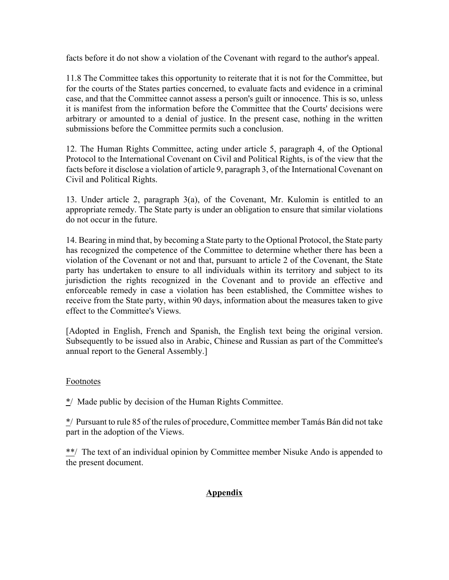facts before it do not show a violation of the Covenant with regard to the author's appeal.

11.8 The Committee takes this opportunity to reiterate that it is not for the Committee, but for the courts of the States parties concerned, to evaluate facts and evidence in a criminal case, and that the Committee cannot assess a person's guilt or innocence. This is so, unless it is manifest from the information before the Committee that the Courts' decisions were arbitrary or amounted to a denial of justice. In the present case, nothing in the written submissions before the Committee permits such a conclusion.

12. The Human Rights Committee, acting under article 5, paragraph 4, of the Optional Protocol to the International Covenant on Civil and Political Rights, is of the view that the facts before it disclose a violation of article 9, paragraph 3, of the International Covenant on Civil and Political Rights.

13. Under article 2, paragraph 3(a), of the Covenant, Mr. Kulomin is entitled to an appropriate remedy. The State party is under an obligation to ensure that similar violations do not occur in the future.

14. Bearing in mind that, by becoming a State party to the Optional Protocol, the State party has recognized the competence of the Committee to determine whether there has been a violation of the Covenant or not and that, pursuant to article 2 of the Covenant, the State party has undertaken to ensure to all individuals within its territory and subject to its jurisdiction the rights recognized in the Covenant and to provide an effective and enforceable remedy in case a violation has been established, the Committee wishes to receive from the State party, within 90 days, information about the measures taken to give effect to the Committee's Views.

[Adopted in English, French and Spanish, the English text being the original version. Subsequently to be issued also in Arabic, Chinese and Russian as part of the Committee's annual report to the General Assembly.]

# Footnotes

 $\frac{*}{\ }$  Made public by decision of the Human Rights Committee.

\*/ Pursuant to rule 85 of the rules of procedure, Committee member Tamás Bán did not take part in the adoption of the Views.

\*\*/ The text of an individual opinion by Committee member Nisuke Ando is appended to the present document.

# **Appendix**